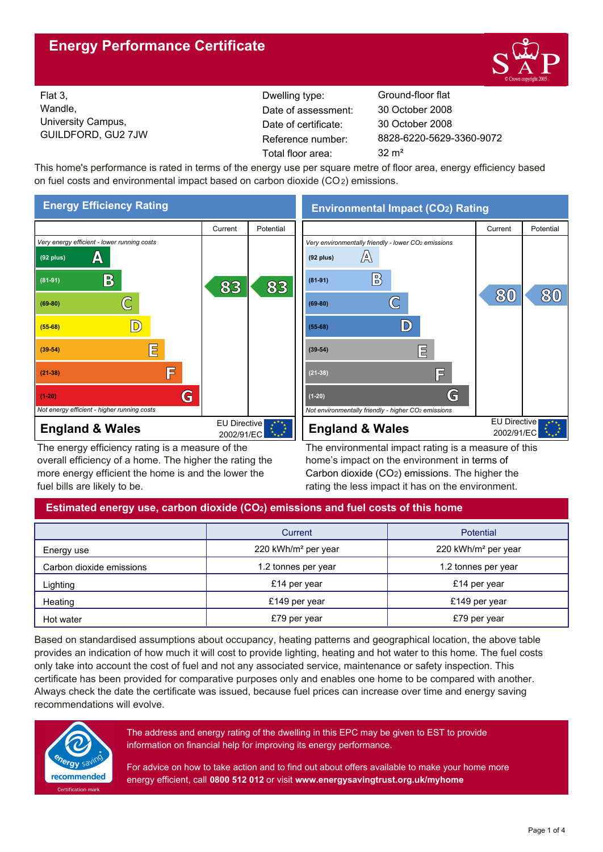# **Energy Performance Certificate**



Flat 3, Wandle, University Campus, GUILDFORD, GU2 7JW

Dwelling type: Ground-floor flat Date of certificate: Total floor area: 32 m<sup>2</sup> Date of assessment:

8828-6220-5629-3360-9072 30 October 2008 30 October 2008

This home's performance is rated in terms of the energy use per square metre of floor area, energy efficiency based on fuel costs and environmental impact based on carbon dioxide (CO2) emissions.



The energy efficiency rating is a measure of the overall efficiency of a home. The higher the rating the more energy efficient the home is and the lower the fuel bills are likely to be.

# **Environmental Impact (CO2) Rating**



The environmental impact rating is a measure of this home's impact on the environment in terms of Carbon dioxide (CO2) emissions. The higher the rating the less impact it has on the environment.

# **Estimated energy use, carbon dioxide (CO2) emissions and fuel costs of this home**

|                          | Current                         | Potential                       |  |
|--------------------------|---------------------------------|---------------------------------|--|
| Energy use               | 220 kWh/m <sup>2</sup> per year | 220 kWh/m <sup>2</sup> per year |  |
| Carbon dioxide emissions | 1.2 tonnes per year             | 1.2 tonnes per year             |  |
| Lighting                 | £14 per year                    | £14 per year                    |  |
| Heating                  | £149 per year                   | £149 per year                   |  |
| Hot water                | £79 per year                    | £79 per year                    |  |

Based on standardised assumptions about occupancy, heating patterns and geographical location, the above table provides an indication of how much it will cost to provide lighting, heating and hot water to this home. The fuel costs only take into account the cost of fuel and not any associated service, maintenance or safety inspection. This certificate has been provided for comparative purposes only and enables one home to be compared with another. Always check the date the certificate was issued, because fuel prices can increase over time and energy saving recommendations will evolve.



The address and energy rating of the dwelling in this EPC may be given to EST to provide information on financial help for improving its energy performance.

For advice on how to take action and to find out about offers available to make your home more energy efficient, call **0800 512 012** or visit **www.energysavingtrust.org.uk/myhome**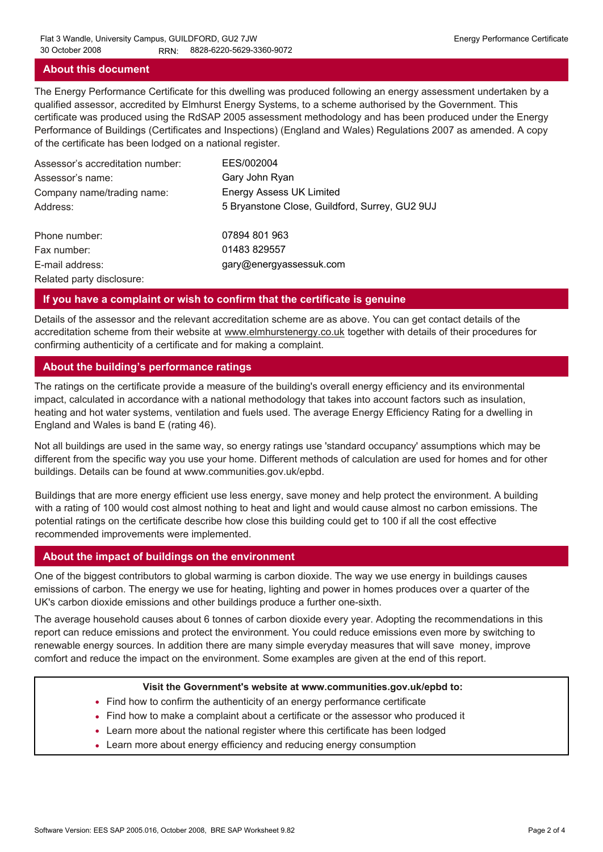### **About this document**

The Energy Performance Certificate for this dwelling was produced following an energy assessment undertaken by a qualified assessor, accredited by Elmhurst Energy Systems, to a scheme authorised by the Government. This certificate was produced using the RdSAP 2005 assessment methodology and has been produced under the Energy Performance of Buildings (Certificates and Inspections) (England and Wales) Regulations 2007 as amended. A copy of the certificate has been lodged on a national register.

| Assessor's accreditation number: | EES/002004                                     |
|----------------------------------|------------------------------------------------|
| Assessor's name:                 | Gary John Ryan                                 |
| Company name/trading name:       | <b>Energy Assess UK Limited</b>                |
| Address:                         | 5 Bryanstone Close, Guildford, Surrey, GU2 9UJ |
| Phone number:                    | 07894 801 963                                  |
| Fax number:                      | 01483 829557                                   |
| E-mail address:                  | gary@energyassessuk.com                        |
| Related party disclosure:        |                                                |

### **If you have a complaint or wish to confirm that the certificate is genuine**

Details of the assessor and the relevant accreditation scheme are as above. You can get contact details of the accreditation scheme from their website at www.elmhurstenergy.co.uk together with details of their procedures for confirming authenticity of a certificate and for making a complaint.

## **About the building's performance ratings**

The ratings on the certificate provide a measure of the building's overall energy efficiency and its environmental impact, calculated in accordance with a national methodology that takes into account factors such as insulation, heating and hot water systems, ventilation and fuels used. The average Energy Efficiency Rating for a dwelling in England and Wales is band E (rating 46).

Not all buildings are used in the same way, so energy ratings use 'standard occupancy' assumptions which may be different from the specific way you use your home. Different methods of calculation are used for homes and for other buildings. Details can be found at www.communities.gov.uk/epbd.

Buildings that are more energy efficient use less energy, save money and help protect the environment. A building with a rating of 100 would cost almost nothing to heat and light and would cause almost no carbon emissions. The potential ratings on the certificate describe how close this building could get to 100 if all the cost effective recommended improvements were implemented.

### **About the impact of buildings on the environment**

One of the biggest contributors to global warming is carbon dioxide. The way we use energy in buildings causes emissions of carbon. The energy we use for heating, lighting and power in homes produces over a quarter of the UK's carbon dioxide emissions and other buildings produce a further one-sixth.

The average household causes about 6 tonnes of carbon dioxide every year. Adopting the recommendations in this report can reduce emissions and protect the environment. You could reduce emissions even more by switching to renewable energy sources. In addition there are many simple everyday measures that will save money, improve comfort and reduce the impact on the environment. Some examples are given at the end of this report.

### **Visit the Government's website at www.communities.gov.uk/epbd to:**

- Find how to confirm the authenticity of an energy performance certificate
- Find how to make a complaint about a certificate or the assessor who produced it •
- Learn more about the national register where this certificate has been lodged •
- Learn more about energy efficiency and reducing energy consumption •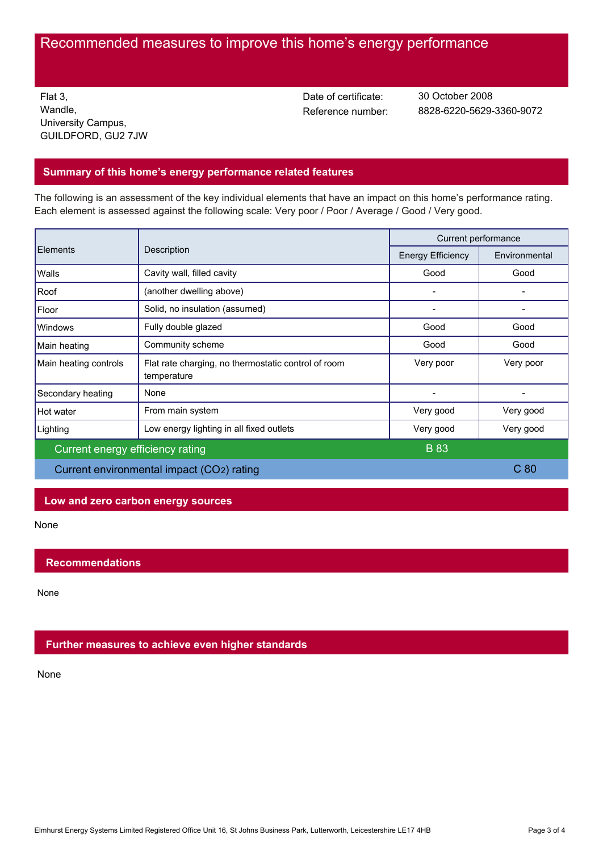# Recommended measures to improve this home's energy performance

Flat 3, Wandle, University Campus, GUILDFORD, GU2 7JW Date of certificate:

Reference number: 8828-6220-5629-3360-9072 30 October 2008

## **Summary of this home's energy performance related features**

The following is an assessment of the key individual elements that have an impact on this home's performance rating. Each element is assessed against the following scale: Very poor / Poor / Average / Good / Very good.

| <b>Elements</b>                           | Description                                                        | Current performance      |                 |
|-------------------------------------------|--------------------------------------------------------------------|--------------------------|-----------------|
|                                           |                                                                    | <b>Energy Efficiency</b> | Environmental   |
| Walls                                     | Cavity wall, filled cavity                                         | Good                     | Good            |
| Roof                                      | (another dwelling above)                                           |                          |                 |
| Floor                                     | Solid, no insulation (assumed)                                     |                          |                 |
| Windows                                   | Fully double glazed                                                | Good                     | Good            |
| Main heating                              | Community scheme                                                   | Good                     | Good            |
| Main heating controls                     | Flat rate charging, no thermostatic control of room<br>temperature | Very poor                | Very poor       |
| Secondary heating                         | None                                                               |                          |                 |
| Hot water                                 | From main system                                                   | Very good                | Very good       |
| Lighting                                  | Low energy lighting in all fixed outlets                           | Very good                | Very good       |
| Current energy efficiency rating          |                                                                    | <b>B</b> 83              |                 |
| Current environmental impact (CO2) rating |                                                                    |                          | C <sub>80</sub> |

## **Low and zero carbon energy sources**

None

## **Recommendations**

None

## **Further measures to achieve even higher standards**

None